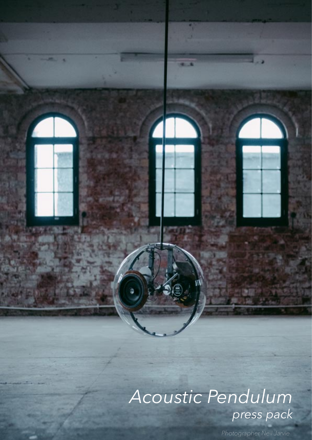# *Acoustic Pendulum press pack*

٠

*Photographer Neil Jarvie*

- 1

 $\overline{\phantom{a}}$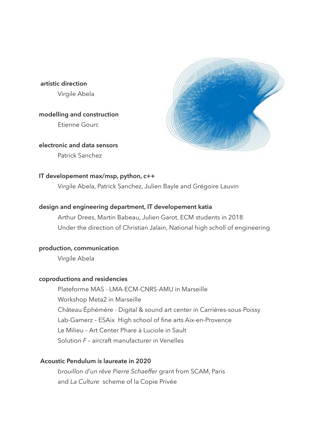**artistic direction** Virgile Abela

**modelling and construction** Etienne Gourc

**electronic and data sensors** Patrick Sanchez

## **IT developement max/msp, python, c++**

Virgile Abela, Patrick Sanchez, Julien Bayle and Grégoire Lauvin

# **design and engineering department, IT developement katia**

Arthur Drees, Martin Babeau, Julien Garot, ECM students in 2018 Under the direction of Christian Jalain, National high scholl of engineering

## **production, communication**

Virgile Abela

## **coproductions and residencies**

Plateforme MAS - LMA-ECM-CNRS-AMU in Marseille Workshop Meta2 in Marseille Château Éphémère - Digital & sound art center in Carrières-sous-Poissy Lab-Gamerz – ESAix High school of fine arts Aix-en-Provence Le Milieu – Art Center Phare à Luciole in Sault Solution *F* – aircraft manufacturer in Venelles

## **Acoustic Pendulum is laureate in 2020**

*brouillon d'un rêve Pierre Schaeffer* grant from SCAM, Paris and *La Culture* scheme of la Copie Privée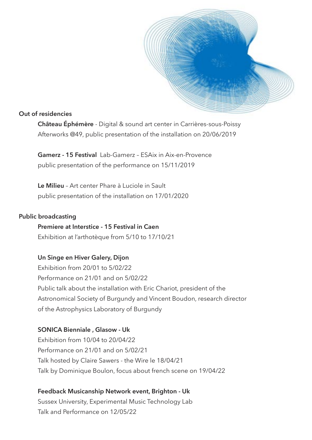

# **Out of residencies**

**Château Éphémère** - Digital & sound art center in Carrières-sous-Poissy Afterworks @49, public presentation of the installation on 20/06/2019

**Gamerz - 15 Festival** Lab-Gamerz – ESAix in Aix-en-Provence public presentation of the performance on 15/11/2019

**Le Milieu** – Art center Phare à Luciole in Sault public presentation of the installation on 17/01/2020

# **Public broadcasting**

**Premiere at Interstice - 15 Festival in Caen** Exhibition at l'arthotèque from 5/10 to 17/10/21

# **Un Singe en Hiver Galery, Dijon**

Exhibition from 20/01 to 5/02/22 Performance on 21/01 and on 5/02/22 Public talk about the installation with Eric Chariot, president of the Astronomical Society of Burgundy and Vincent Boudon, research director of the Astrophysics Laboratory of Burgundy

# **SONICA Bienniale , Glasow - Uk**

Exhibition from 10/04 to 20/04/22 Performance on 21/01 and on 5/02/21 Talk hosted by Claire Sawers - the Wire le 18/04/21 Talk by Dominique Boulon, focus about french scene on 19/04/22

# **Feedback Musicanship Network event, Brighton - Uk**

Sussex University, Experimental Music Technology Lab Talk and Performance on 12/05/22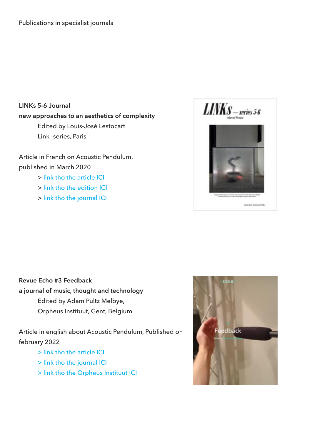**LINKs 5-6 Journal new approaches to an aesthetics of complexity**  Edited by Louis-José Lestocart Link -series, Paris

Article in French on Acoustic Pendulum, published in March 2020

> link tho the article ICI

Publications in specialist journals

- > link tho the edition ICI
- > link tho the journa[l ICI](http://links-series.com/wp-content/revues/5-6-Proust/14-Virgile_Abela-Pendule_Acoustique-LINKs_serie_5_6.pdf)



**Revue Echo #3 Feedback a journal of music, thought and technology** Edited by Adam Pultz Melbye, Orpheus Instituut, Gent, Belgium

Article in english about Acoustic Pendulum, Published on february 2022

- > link tho the article ICI
- > link tho the journal ICI
- > link tho the Orph[eus I](https://echo.orpheusinstituut.be/article/acoustic-pendulum)nstituut ICI

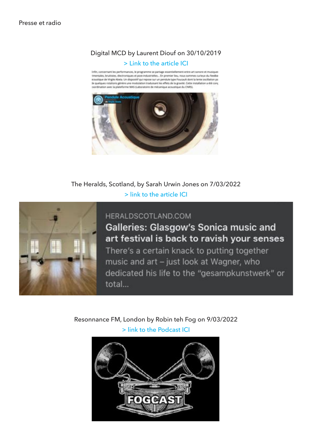# Digital MCD by Laurent Diouf on 30/10/2019 > Link to the article ICI

Infin, concernant les performances, le programme se partage essentie est andre promote the archive dress rimentales, bruitistes, électroniques et post-industrielles... En premier lieu, nous sommes curieux du Feedba ncoussigue de Virgile Abela. Un dispositif qui repose sur un pendule type Foucault dont la lente oscillation po<br>De quelques rotations génère une modulation traduisant les effets de la gravité. Cette installation a été conc coordination avec la plateforme MAS (Laboratoire de mécanique acoustique du CNRS).



# The Heralds, Scotland, by Sarah Urwin Jones on 7/03/2022

> link to the article ICI



HERALDSCOTLAND.COM

Galleries: Glasgow's Sonica music and art festival is back to ravish your senses There's a certain knack to putting together music and art - just look at Wagner, who dedicated his life to the "gesampkunstwerk" or total...

Resonnance FM, London by Robin teh Fog on 9/03/2022 > link to the Podcast ICI

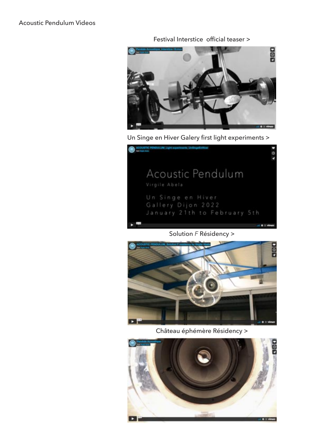Festival Interstice official teaser >



[Un Singe en Hiver Galery first light experiments >](https://vimeo.com/639026705)





[Château éphémère Résidency >](https://vimeo.com/400907969)

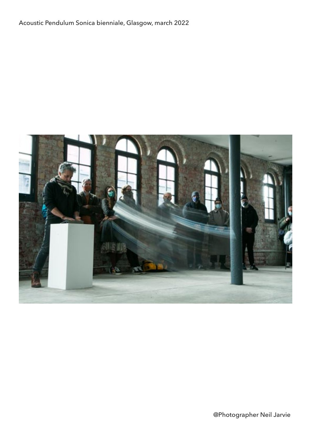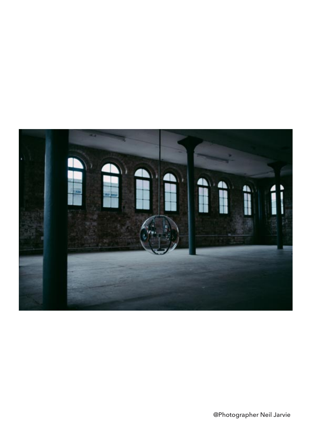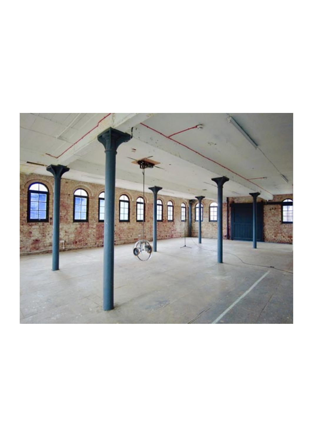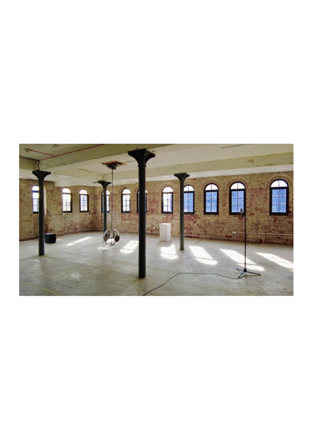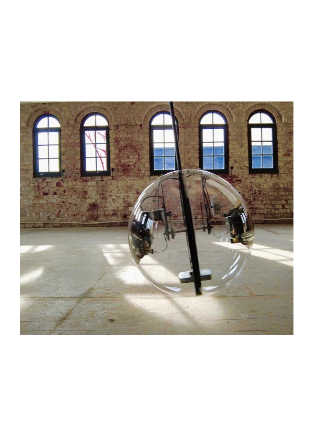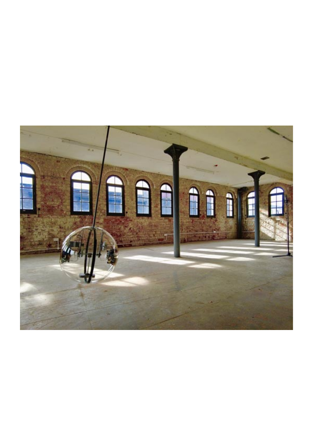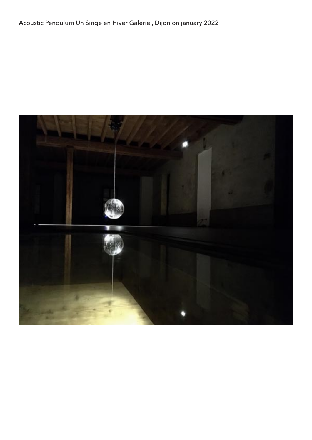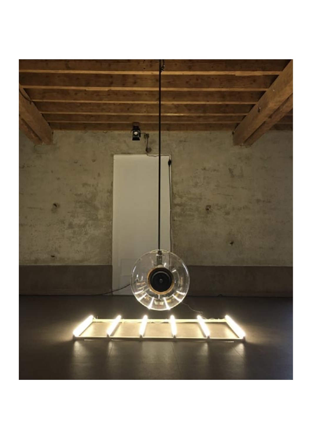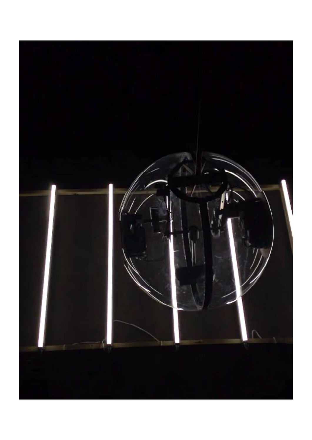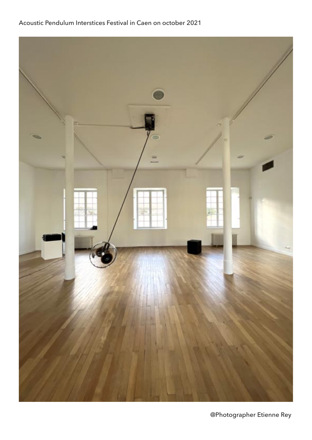# Acoustic Pendulum Interstices Festival in Caen on october 2021



@Photographer Etienne Rey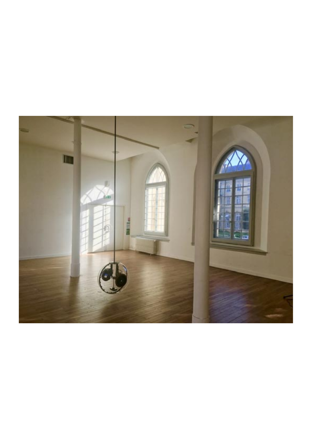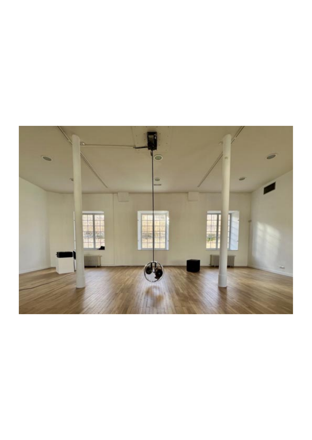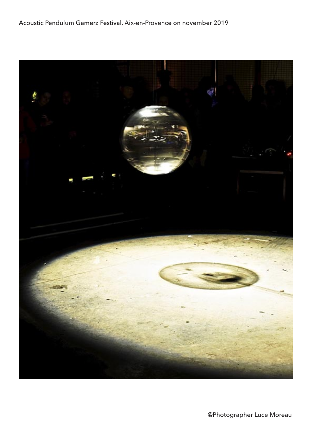

@Photographer Luce Moreau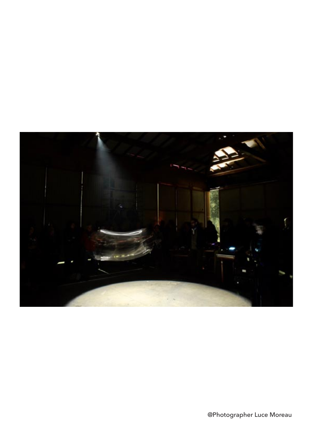

@Photographer Luce Moreau